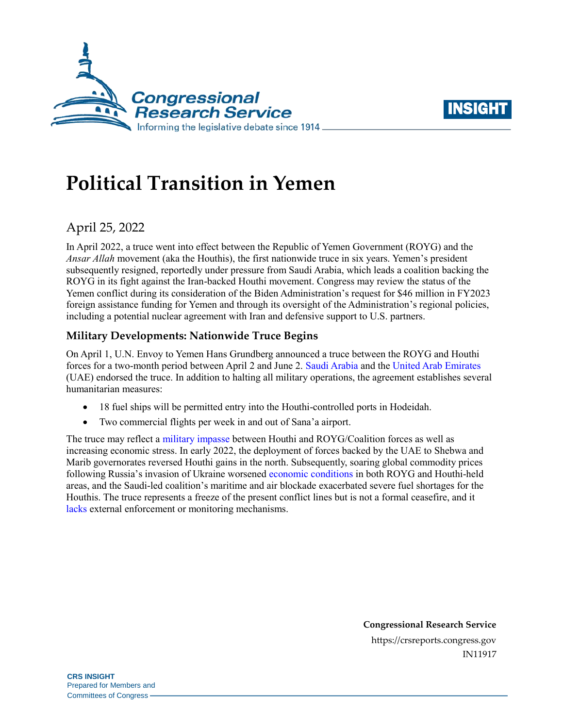



# **Political Transition in Yemen**

## April 25, 2022

In April 2022, a truce went into effect between the Republic of Yemen Government (ROYG) and the *Ansar Allah* movement (aka the Houthis), the first nationwide truce in six years. Yemen's president subsequently resigned, reportedly under pressure from Saudi Arabia, which leads a coalition backing the ROYG in its fight against the Iran-backed Houthi movement. Congress may review the status of the Yemen conflict during its consideration of the Biden Administration's request for \$46 million in FY2023 foreign assistance funding for Yemen and through its oversight of the Administration's regional policies, including a potential nuclear agreement with Iran and defensive support to U.S. partners.

## **Military Developments: Nationwide Truce Begins**

On April 1, U.N. Envoy to Yemen Hans Grundberg announced a truce between the ROYG and Houthi forces for a two-month period between April 2 and June 2. [Saudi Arabia](https://www.spa.gov.sa/viewfullstory.php?lang=en&newsid=2342990) and the [United Arab Emirates](https://www.reuters.com/world/middle-east/uae-welcomes-two-month-truce-yemen-state-news-agency-2022-04-02/) (UAE) endorsed the truce. In addition to halting all military operations, the agreement establishes several humanitarian measures:

- 18 fuel ships will be permitted entry into the Houthi-controlled ports in Hodeidah.
- Two commercial flights per week in and out of Sana'a airport.

The truce may reflect [a military impasse](https://www.crisisgroup.org/middle-east-north-africa/gulf-and-arabian-peninsula/yemen/behind-yemen-truce-and-presidential-council-announcements) between Houthi and ROYG/Coalition forces as well as increasing economic stress. In early 2022, the deployment of forces backed by the UAE to Shebwa and Marib governorates reversed Houthi gains in the north. Subsequently, soaring global commodity prices following Russia's invasion of Ukraine worsened [economic conditions](https://www.worldbank.org/en/country/yemen/publication/economic-update-april-2022) in both ROYG and Houthi-held areas, and the Saudi-led coalition's maritime and air blockade exacerbated severe fuel shortages for the Houthis. The truce represents a freeze of the present conflict lines but is not a formal ceasefire, and it [lacks](https://reliefweb.int/report/yemen/special-envoy-hans-grundberg-opening-remarks-press-enar) external enforcement or monitoring mechanisms.

> **Congressional Research Service** https://crsreports.congress.gov IN11917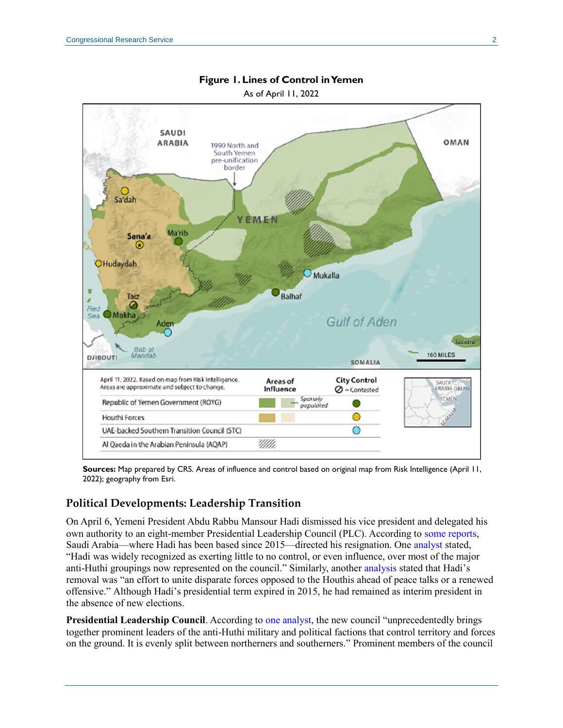

## **Figure 1. Lines of Control in Yemen**

**Sources:** Map prepared by CRS. Areas of influence and control based on original map from Risk Intelligence (April 11, 2022); geography from Esri.

### **Political Developments: Leadership Transition**

On April 6, Yemeni President Abdu Rabbu Mansour Hadi dismissed his vice president and delegated his own authority to an eight-member Presidential Leadership Council (PLC). According to [some reports,](https://www.wsj.com/articles/saudi-arabia-pushed-yemens-elected-president-to-step-aside-saudi-and-yemeni-officials-say-11650224802) Saudi Arabia—where Hadi has been based since 2015—directed his resignation. One [analyst](https://www.crisisgroup.org/middle-east-north-africa/gulf-and-arabian-peninsula/yemen/behind-yemen-truce-and-presidential-council-announcements) stated, "Hadi was widely recognized as exerting little to no control, or even influence, over most of the major anti-Huthi groupings now represented on the council." Similarly, another [analysis](https://www.wsj.com/articles/saudi-arabia-pushed-yemens-elected-president-to-step-aside-saudi-and-yemeni-officials-say-11650224802) stated that Hadi's removal was "an effort to unite disparate forces opposed to the Houthis ahead of peace talks or a renewed offensive." Although Hadi's presidential term expired in 2015, he had remained as interim president in the absence of new elections.

**Presidential Leadership Council**. According t[o one analyst,](https://www.crisisgroup.org/middle-east-north-africa/gulf-and-arabian-peninsula/yemen/behind-yemen-truce-and-presidential-council-announcements) the new council "unprecedentedly brings together prominent leaders of the anti-Huthi military and political factions that control territory and forces on the ground. It is evenly split between northerners and southerners." Prominent members of the council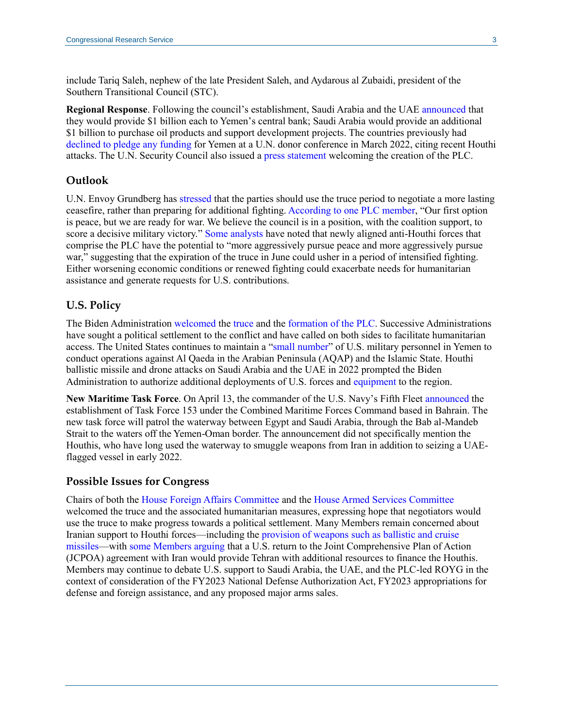include Tariq Saleh, nephew of the late President Saleh, and Aydarous al Zubaidi, president of the Southern Transitional Council (STC).

**Regional Response**. Following the council's establishment, Saudi Arabia and the UAE [announced](https://www.bloomberg.com/news/articles/2022-04-07/saudi-arabia-uae-to-give-3-billion-to-yemen-in-new-peace-push) that they would provide \$1 billion each to Yemen's central bank; Saudi Arabia would provide an additional \$1 billion to purchase oil products and support development projects. The countries previously had [declined to pledge any funding](https://www.devex.com/news/saudi-uae-pledge-nothing-at-yemen-fundraising-summit-102854) for Yemen at a U.N. donor conference in March 2022, citing recent Houthi attacks. The U.N. Security Council also issued a [press statement](https://twitter.com/USUN/status/1514275043349610498/photo/1) welcoming the creation of the PLC.

#### **Outlook**

U.N. Envoy Grundberg has [stressed](https://www.un.org/press/en/2022/db220414.doc.htm) that the parties should use the truce period to negotiate a more lasting ceasefire, rather than preparing for additional fighting[. According to one PLC member,](https://www.thenationalnews.com/gulf-news/saudi-arabia/2022/04/18/yemens-new-leaders-pushing-for-peace/) "Our first option is peace, but we are ready for war. We believe the council is in a position, with the coalition support, to score a decisive military victory." [Some analysts](https://www.thenationalnews.com/gulf-news/saudi-arabia/2022/04/18/yemens-new-leaders-pushing-for-peace/) have noted that newly aligned anti-Houthi forces that comprise the PLC have the potential to "more aggressively pursue peace and more aggressively pursue war," suggesting that the expiration of the truce in June could usher in a period of intensified fighting. Either worsening economic conditions or renewed fighting could exacerbate needs for humanitarian assistance and generate requests for U.S. contributions.

#### **U.S. Policy**

The Biden Administration [welcomed](https://www.state.gov/secretary-blinkens-call-with-yemeni-presidential-leadership-council-president-al-alimi/) the [truce](https://www.state.gov/the-united-state-welcomes-the-un-truce-in-yemen/) and the [formation of the PLC.](https://www.state.gov/the-united-states-welcomes-government-reform-in-yemen/) Successive Administrations have sought a political settlement to the conflict and have called on both sides to facilitate humanitarian access. The United States continues to maintain a ["small number"](https://www.whitehouse.gov/briefing-room/statements-releases/2021/12/07/letter-to-the-speaker-of-the-house-and-president-pro-tempore-of-the-senate-regarding-the-war-powers-report-2/) of U.S. military personnel in Yemen to conduct operations against Al Qaeda in the Arabian Peninsula (AQAP) and the Islamic State. Houthi ballistic missile and drone attacks on Saudi Arabia and the UAE in 2022 prompted the Biden Administration to authorize additional deployments of U.S. forces and [equipment](https://www.afcent.af.mil/News/Article/2933198/f-22-raptors-deploy-to-united-arab-emirates-in-show-of-support-to-region/) to the region.

**New Maritime Task Force**. On April 13, the commander of the U.S. Navy's Fifth Fleet [announced](https://breakingdefense.com/2022/04/navy-new-multi-national-task-force-to-enhance-security-in-red-sea/) the establishment of Task Force 153 under the Combined Maritime Forces Command based in Bahrain. The new task force will patrol the waterway between Egypt and Saudi Arabia, through the Bab al-Mandeb Strait to the waters off the Yemen-Oman border. The announcement did not specifically mention the Houthis, who have long used the waterway to smuggle weapons from Iran in addition to seizing a UAEflagged vessel in early 2022.

#### **Possible Issues for Congress**

Chairs of both the [House Foreign Affairs Committee](https://foreignaffairs.house.gov/2022/4/meeks-deutch-release-joint-statement-on-yemen-truce) and the [House Armed Services Committee](https://armedservices.house.gov/press-releases?ID=D0EA273B-D638-46A8-8451-E4B125D8A025) welcomed the truce and the associated humanitarian measures, expressing hope that negotiators would use the truce to make progress towards a political settlement. Many Members remain concerned about Iranian support to Houthi forces—including th[e provision of weapons such as ballistic and cruise](https://www.dni.gov/index.php/newsroom/reports-publications/reports-publications-2021/item/2204-2021-annual-threat-assessment-of-the-u-s-intelligence-community)  [missiles—](https://www.dni.gov/index.php/newsroom/reports-publications/reports-publications-2021/item/2204-2021-annual-threat-assessment-of-the-u-s-intelligence-community)with [some Members arguing](https://plus.cq.com/doc/congressionaltranscripts-6474059?13) that a U.S. return to the Joint Comprehensive Plan of Action (JCPOA) agreement with Iran would provide Tehran with additional resources to finance the Houthis. Members may continue to debate U.S. support to Saudi Arabia, the UAE, and the PLC-led ROYG in the context of consideration of the FY2023 National Defense Authorization Act, FY2023 appropriations for defense and foreign assistance, and any proposed major arms sales.